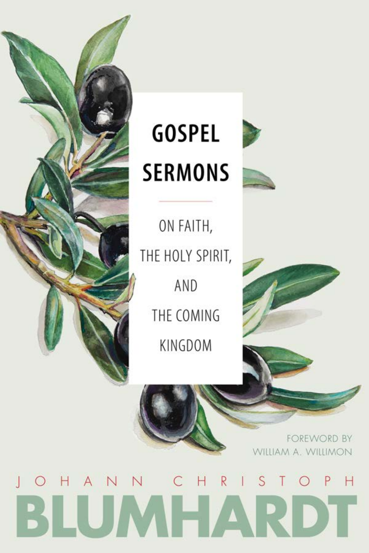#### $\mathsf{R}$  $H$ ANN  $\vert$  S C Η  $H$  $\circ$ P

THE COMING KINGDOM



**FOREWORD BY** 

WILLIAM A. WILLIMON

# **GOSPEL SERMONS**

ON FAITH,

AND



THE HOLY SPIRIT,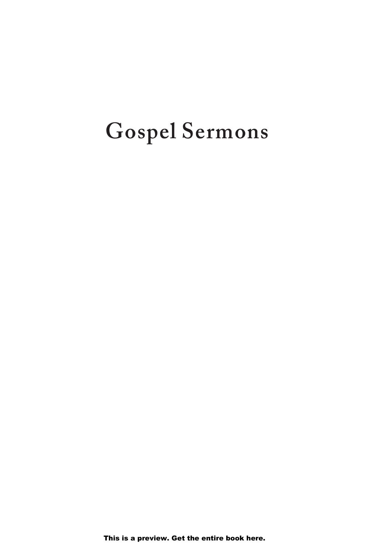## **Gospel Sermons**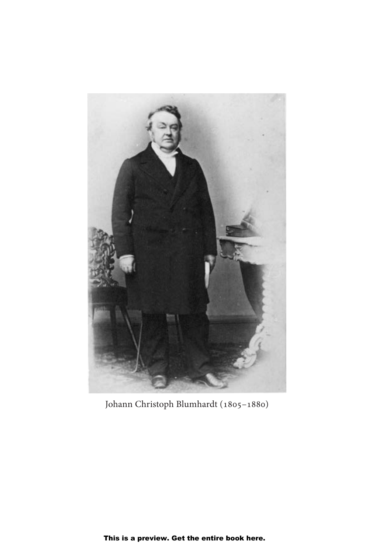

Johann Christoph Blumhardt (1805–1880)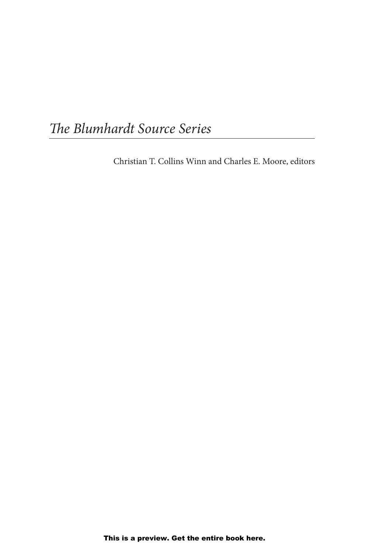## *The Blumhardt Source Series*

Christian T. Collins Winn and Charles E. Moore, editors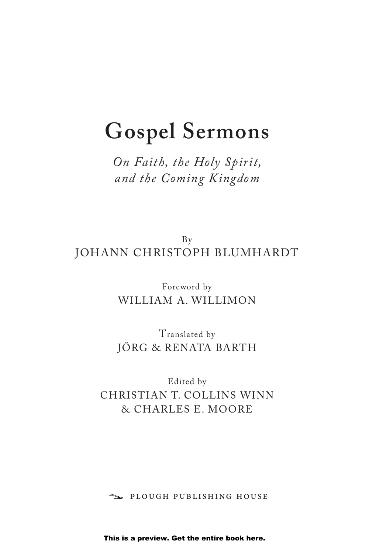## **Gospel Sermons**

*On Faith, the Holy Spirit, and the Coming Kingdom*

By JOHANN CHRISTOPH BLUMHARDT

> Foreword by WILLIAM A. WILLIMON

> Translated by JÖRG & RENATA BARTH

Edited by CHRISTIAN T. COLLINS WINN & CHARLES E. MOORE

PLOUGH PUBLISHING HOUSE

This is a preview. Get the entire book here.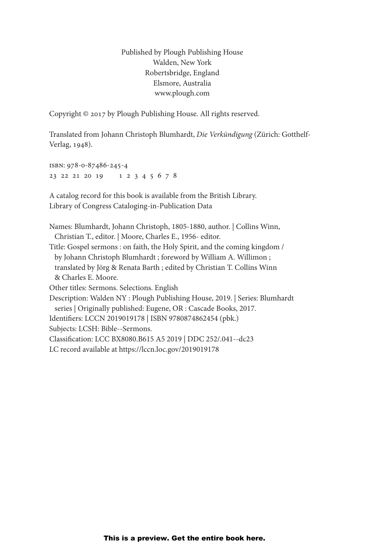Published by Plough Publishing House Walden, New York Robertsbridge, England Elsmore, Australia www.plough.com

Copyright © 2017 by Plough Publishing House. All rights reserved.

Translated from Johann Christoph Blumhardt, *Die Verkündigung* (Zürich: Gotthelf-Verlag, 1948).

isbn: 978-0-87486-245-4 23 22 21 20 19 1 2 3 4 5 6 7 8

A catalog record for this book is available from the British Library. Library of Congress Cataloging-in-Publication Data

Names: Blumhardt, Johann Christoph, 1805-1880, author. | Collins Winn, Christian T., editor. | Moore, Charles E., 1956- editor.

Title: Gospel sermons : on faith, the Holy Spirit, and the coming kingdom / by Johann Christoph Blumhardt ; foreword by William A. Willimon ; translated by Jörg & Renata Barth ; edited by Christian T. Collins Winn & Charles E. Moore.

Other titles: Sermons. Selections. English

Description: Walden NY : Plough Publishing House, 2019. | Series: Blumhardt series | Originally published: Eugene, OR : Cascade Books, 2017.

Identifiers: LCCN 2019019178 | ISBN 9780874862454 (pbk.)

Subjects: LCSH: Bible--Sermons.

Classification: LCC BX8080.B615 A5 2019 | DDC 252/.041--dc23

LC record available at https://lccn.loc.gov/2019019178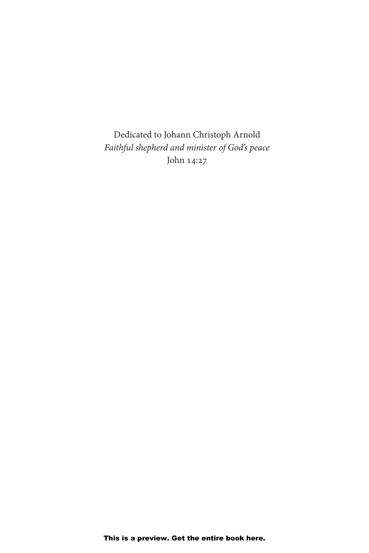Dedicated to Johann Christoph Arnold *Faithful shepherd and minister of God's peace* John 14:27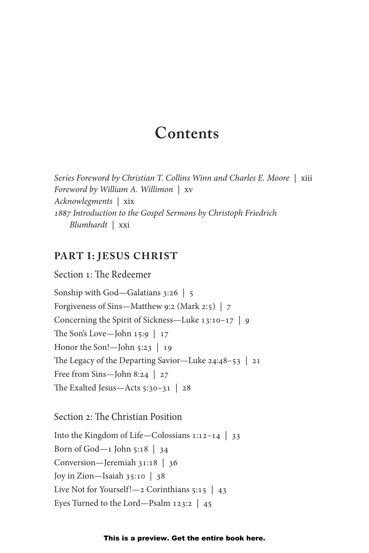*Series Foreword by Christian T. Collins Winn and Charles E. Moore* | xiii *Foreword by William A. Willimon* | xv *Acknowlegments |* xix *1887 Introduction to the Gospel Sermons by Christoph Friedrich Blumhardt* | xxi

#### **PART I: JESUS CHRIST**

Section 1: The Redeemer

Sonship with God—Galatians 3:26 | 5 Forgiveness of Sins—Matthew 9:2 (Mark 2:5) | 7 Concerning the Spirit of Sickness—Luke 13:10–17 | 9 The Son's Love—John 15:9  $\vert$  17 Honor the Son!—John  $5:23 \mid 19$ The Legacy of the Departing Savior—Luke 24:48–53 | 21 Free from Sins—John 8:24 | 27 The Exalted Jesus—Acts 5:30–31 | 28

Section 2: The Christian Position

Into the Kingdom of Life—Colossians 1:12–14 | 33 Born of God—1 John 5:18  $\vert$  34 Conversion—Jeremiah 31:18 | 36 Joy in Zion—Isaiah 35:10 | 38 Live Not for Yourself!—2 Corinthians  $5:15 \mid 43$ Eyes Turned to the Lord—Psalm 123:2 | 45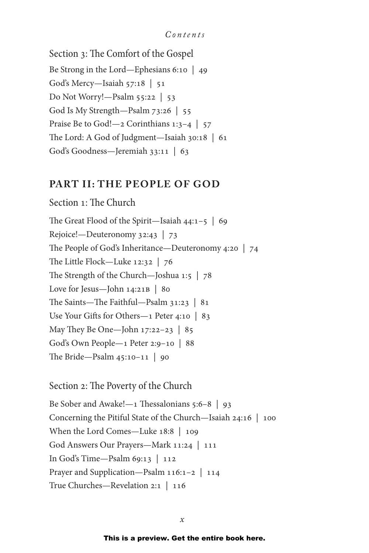Section 3: The Comfort of the Gospel Be Strong in the Lord—Ephesians 6:10 | 49 God's Mercy—Isaiah 57:18 | 51 Do Not Worry!—Psalm 55:22 | 53 God Is My Strength—Psalm 73:26 | 55 Praise Be to God!—2 Corinthians  $1:3-4$  | 57 The Lord: A God of Judgment—Isaiah 30:18 | 61 God's Goodness—Jeremiah 33:11 | 63

#### **PART II: THE PEOPLE OF GOD**

Section 1: The Church

The Great Flood of the Spirit—Isaiah 44:1–5 | 69 Rejoice!—Deuteronomy 32:43 | 73 The People of God's Inheritance—Deuteronomy 4:20 | 74 The Little Flock—Luke 12:32 | 76 The Strength of the Church—Joshua 1:5 | 78 Love for Jesus—John 14:21B | 80 The Saints—The Faithful—Psalm 31:23 | 81 Use Your Gifts for Others—1 Peter 4:10 | 83 May They Be One—John 17:22–23 | 85 God's Own People—1 Peter 2:9–10 | 88 The Bride—Psalm 45:10–11 | 90

Section 2: The Poverty of the Church

Be Sober and Awake!—1 Thessalonians  $5:6-8$  | 93 Concerning the Pitiful State of the Church—Isaiah 24:16 | 100 When the Lord Comes—Luke 18:8 | 109 God Answers Our Prayers—Mark 11:24 | 111 In God's Time—Psalm 69:13 | 112 Prayer and Supplication—Psalm 116:1–2 | 114 True Churches—Revelation 2:1 | 116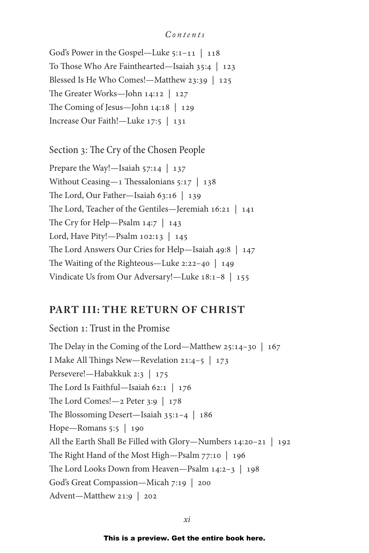God's Power in the Gospel—Luke 5:1–11 | 118 To Those Who Are Fainthearted—Isaiah 35:4 | 123 Blessed Is He Who Comes!—Matthew 23:39 | 125 The Greater Works—John 14:12 | 127 The Coming of Jesus—John 14:18 | 129 Increase Our Faith!—Luke 17:5 | 131

Section 3: The Cry of the Chosen People

Prepare the Way!—Isaiah 57:14 | 137 Without Ceasing—1 Thessalonians 5:17 | 138 The Lord, Our Father—Isaiah 63:16 | 139 The Lord, Teacher of the Gentiles—Jeremiah 16:21 | 141 The Cry for Help—Psalm 14:7 | 143 Lord, Have Pity!—Psalm 102:13 | 145 The Lord Answers Our Cries for Help—Isaiah 49:8 | 147 The Waiting of the Righteous—Luke 2:22–40 | 149 Vindicate Us from Our Adversary!—Luke 18:1–8 | 155

#### **PART III: THE RETURN OF CHRIST**

Section 1: Trust in the Promise

The Delay in the Coming of the Lord—Matthew 25:14-30 | 167 I Make All Things New—Revelation 21:4–5 | 173 Persevere!—Habakkuk 2:3 | 175 The Lord Is Faithful—Isaiah 62:1 | 176 The Lord Comes!—2 Peter 3:9  $\vert$  178 The Blossoming Desert—Isaiah 35:1–4 | 186 Hope—Romans 5:5 | 190 All the Earth Shall Be Filled with Glory—Numbers 14:20–21 | 192 The Right Hand of the Most High—Psalm 77:10 | 196 The Lord Looks Down from Heaven—Psalm 14:2–3 | 198 God's Great Compassion—Micah 7:19 | 200 Advent—Matthew 21:9 | 202

#### This is a preview. Get the entire book here.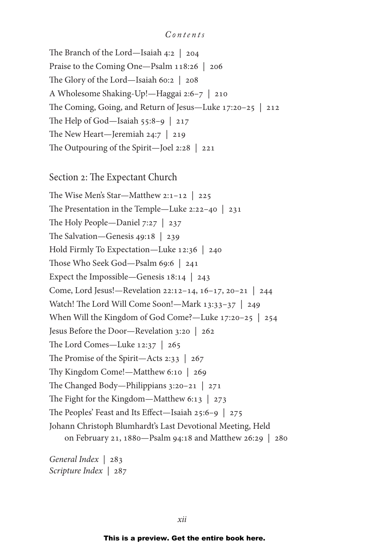The Branch of the Lord—Isaiah 4:2 | 204 Praise to the Coming One—Psalm 118:26 | 206 The Glory of the Lord—Isaiah 60:2 | 208 A Wholesome Shaking-Up!—Haggai 2:6–7 | 210 The Coming, Going, and Return of Jesus—Luke 17:20–25 | 212 The Help of God—Isaiah 55:8–9 | 217 The New Heart—Jeremiah 24:7 | 219 The Outpouring of the Spirit—Joel 2:28 | 221

#### Section 2: The Expectant Church

The Wise Men's Star—Matthew 2:1–12 | 225 The Presentation in the Temple—Luke 2:22–40 | 231 The Holy People—Daniel 7:27 | 237 The Salvation—Genesis 49:18 | 239 Hold Firmly To Expectation—Luke 12:36 | 240 Those Who Seek God—Psalm 69:6 | 241 Expect the Impossible—Genesis 18:14 | 243 Come, Lord Jesus!—Revelation 22:12–14, 16–17, 20–21 | 244 Watch! The Lord Will Come Soon!—Mark 13:33–37 | 249 When Will the Kingdom of God Come?—Luke 17:20–25 | 254 Jesus Before the Door—Revelation 3:20 | 262 The Lord Comes—Luke 12:37 | 265 The Promise of the Spirit—Acts 2:33 | 267 Thy Kingdom Come!—Matthew 6:10 | 269 The Changed Body—Philippians 3:20–21 | 271 The Fight for the Kingdom—Matthew 6:13 | 273 The Peoples' Feast and Its Effect—Isaiah 25:6–9 | 275 Johann Christoph Blumhardt's Last Devotional Meeting, Held on February 21, 1880—Psalm 94:18 and Matthew 26:29 | 280

*General Index |* 283 *Scripture Index |* 287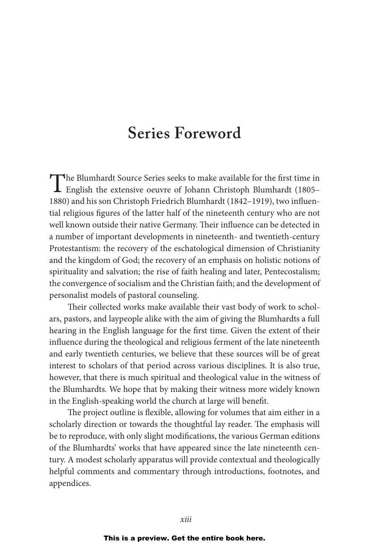### **Series Foreword**

The Blumhardt Source Series seeks to make available for the first time in English the extensive oeuvre of Johann Christoph Blumhardt (1805–1999) 1880) and his son Christoph Friedrich Blumhardt (1842–1919), two influential religious figures of the latter half of the nineteenth century who are not well known outside their native Germany. Their influence can be detected in a number of important developments in nineteenth- and twentieth-century Protestantism: the recovery of the eschatological dimension of Christianity and the kingdom of God; the recovery of an emphasis on holistic notions of spirituality and salvation; the rise of faith healing and later, Pentecostalism; the convergence of socialism and the Christian faith; and the development of personalist models of pastoral counseling.

Their collected works make available their vast body of work to scholars, pastors, and laypeople alike with the aim of giving the Blumhardts a full hearing in the English language for the first time. Given the extent of their influence during the theological and religious ferment of the late nineteenth and early twentieth centuries, we believe that these sources will be of great interest to scholars of that period across various disciplines. It is also true, however, that there is much spiritual and theological value in the witness of the Blumhardts. We hope that by making their witness more widely known in the English-speaking world the church at large will benefit.

The project outline is flexible, allowing for volumes that aim either in a scholarly direction or towards the thoughtful lay reader. The emphasis will be to reproduce, with only slight modifications, the various German editions of the Blumhardts' works that have appeared since the late nineteenth century. A modest scholarly apparatus will provide contextual and theologically helpful comments and commentary through introductions, footnotes, and appendices.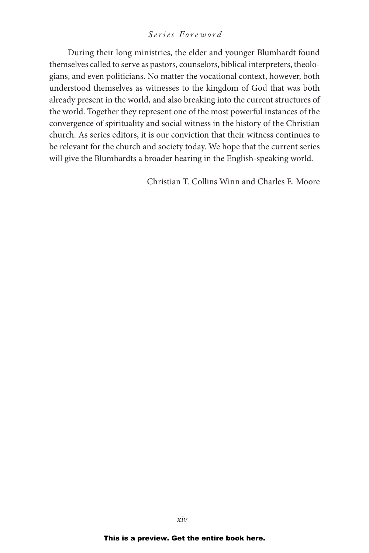#### *Series Foreword*

During their long ministries, the elder and younger Blumhardt found themselves called to serve as pastors, counselors, biblical interpreters, theologians, and even politicians. No matter the vocational context, however, both understood themselves as witnesses to the kingdom of God that was both already present in the world, and also breaking into the current structures of the world. Together they represent one of the most powerful instances of the convergence of spirituality and social witness in the history of the Christian church. As series editors, it is our conviction that their witness continues to be relevant for the church and society today. We hope that the current series will give the Blumhardts a broader hearing in the English-speaking world.

Christian T. Collins Winn and Charles E. Moore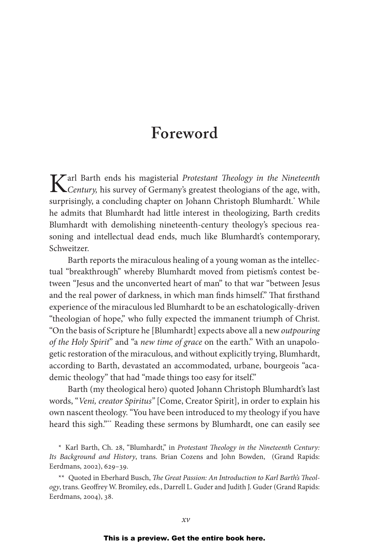Karl Barth ends his magisterial *Protestant Theology in the Nineteenth Century,* his survey of Germany's greatest theologians of the age, with, surprisingly, a concluding chapter on Johann Christoph Blumhardt.\* While he admits that Blumhardt had little interest in theologizing, Barth credits Blumhardt with demolishing nineteenth-century theology's specious reasoning and intellectual dead ends, much like Blumhardt's contemporary, Schweitzer.

Barth reports the miraculous healing of a young woman as the intellectual "breakthrough" whereby Blumhardt moved from pietism's contest between "Jesus and the unconverted heart of man" to that war "between Jesus and the real power of darkness, in which man finds himself." That firsthand experience of the miraculous led Blumhardt to be an eschatologically-driven "theologian of hope," who fully expected the immanent triumph of Christ. "On the basis of Scripture he [Blumhardt] expects above all a new *outpouring of the Holy Spirit*" and "a *new time of grace* on the earth." With an unapologetic restoration of the miraculous, and without explicitly trying, Blumhardt, according to Barth, devastated an accommodated, urbane, bourgeois "academic theology" that had "made things too easy for itself."

Barth (my theological hero) quoted Johann Christoph Blumhardt's last words, "*Veni, creator Spiritus"* [Come, Creator Spirit], in order to explain his own nascent theology. "You have been introduced to my theology if you have heard this sigh."\*\* Reading these sermons by Blumhardt, one can easily see

\* Karl Barth, Ch. 28, "Blumhardt," in *Protestant Theology in the Nineteenth Century: Its Background and History*, trans. Brian Cozens and John Bowden, (Grand Rapids: Eerdmans, 2002), 629–39.

\*\* Quoted in Eberhard Busch, *The Great Passion: An Introduction to Karl Barth's Theology*, trans. Geoffrey W. Bromiley, eds., Darrell L. Guder and Judith J. Guder (Grand Rapids: Eerdmans, 2004), 38.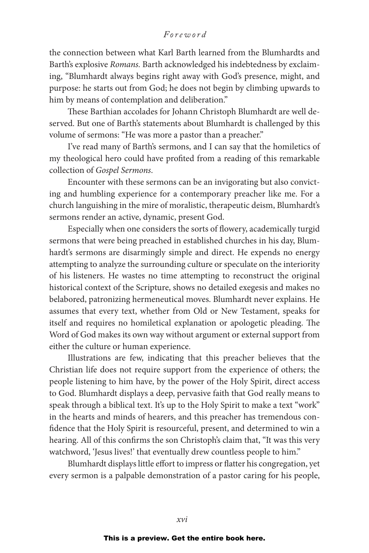the connection between what Karl Barth learned from the Blumhardts and Barth's explosive *Romans.* Barth acknowledged his indebtedness by exclaiming, "Blumhardt always begins right away with God's presence, might, and purpose: he starts out from God; he does not begin by climbing upwards to him by means of contemplation and deliberation."

These Barthian accolades for Johann Christoph Blumhardt are well deserved. But one of Barth's statements about Blumhardt is challenged by this volume of sermons: "He was more a pastor than a preacher."

I've read many of Barth's sermons, and I can say that the homiletics of my theological hero could have profited from a reading of this remarkable collection of *Gospel Sermons*.

Encounter with these sermons can be an invigorating but also convicting and humbling experience for a contemporary preacher like me. For a church languishing in the mire of moralistic, therapeutic deism, Blumhardt's sermons render an active, dynamic, present God.

Especially when one considers the sorts of flowery, academically turgid sermons that were being preached in established churches in his day, Blumhardt's sermons are disarmingly simple and direct. He expends no energy attempting to analyze the surrounding culture or speculate on the interiority of his listeners. He wastes no time attempting to reconstruct the original historical context of the Scripture, shows no detailed exegesis and makes no belabored, patronizing hermeneutical moves. Blumhardt never explains. He assumes that every text, whether from Old or New Testament, speaks for itself and requires no homiletical explanation or apologetic pleading. The Word of God makes its own way without argument or external support from either the culture or human experience.

Illustrations are few, indicating that this preacher believes that the Christian life does not require support from the experience of others; the people listening to him have, by the power of the Holy Spirit, direct access to God. Blumhardt displays a deep, pervasive faith that God really means to speak through a biblical text. It's up to the Holy Spirit to make a text "work" in the hearts and minds of hearers, and this preacher has tremendous confidence that the Holy Spirit is resourceful, present, and determined to win a hearing. All of this confirms the son Christoph's claim that, "It was this very watchword, 'Jesus lives!' that eventually drew countless people to him."

Blumhardt displays little effort to impress or flatter his congregation, yet every sermon is a palpable demonstration of a pastor caring for his people,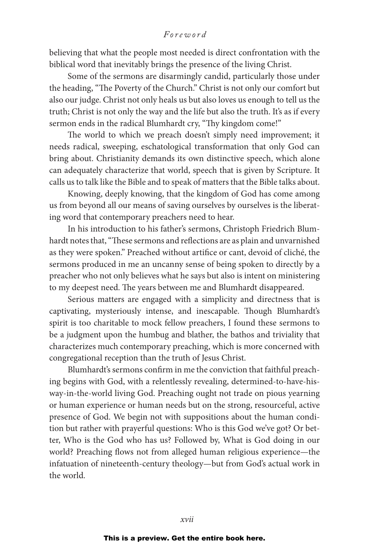believing that what the people most needed is direct confrontation with the biblical word that inevitably brings the presence of the living Christ.

Some of the sermons are disarmingly candid, particularly those under the heading, "The Poverty of the Church." Christ is not only our comfort but also our judge. Christ not only heals us but also loves us enough to tell us the truth; Christ is not only the way and the life but also the truth. It's as if every sermon ends in the radical Blumhardt cry, "Thy kingdom come!"

The world to which we preach doesn't simply need improvement; it needs radical, sweeping, eschatological transformation that only God can bring about. Christianity demands its own distinctive speech, which alone can adequately characterize that world, speech that is given by Scripture. It calls us to talk like the Bible and to speak of matters that the Bible talks about.

Knowing, deeply knowing, that the kingdom of God has come among us from beyond all our means of saving ourselves by ourselves is the liberating word that contemporary preachers need to hear.

In his introduction to his father's sermons, Christoph Friedrich Blumhardt notes that, "These sermons and reflections are as plain and unvarnished as they were spoken." Preached without artifice or cant, devoid of cliché, the sermons produced in me an uncanny sense of being spoken to directly by a preacher who not only believes what he says but also is intent on ministering to my deepest need. The years between me and Blumhardt disappeared.

Serious matters are engaged with a simplicity and directness that is captivating, mysteriously intense, and inescapable. Though Blumhardt's spirit is too charitable to mock fellow preachers, I found these sermons to be a judgment upon the humbug and blather, the bathos and triviality that characterizes much contemporary preaching, which is more concerned with congregational reception than the truth of Jesus Christ.

Blumhardt's sermons confirm in me the conviction that faithful preaching begins with God, with a relentlessly revealing, determined-to-have-hisway-in-the-world living God. Preaching ought not trade on pious yearning or human experience or human needs but on the strong, resourceful, active presence of God. We begin not with suppositions about the human condition but rather with prayerful questions: Who is this God we've got? Or better, Who is the God who has us? Followed by, What is God doing in our world? Preaching flows not from alleged human religious experience—the infatuation of nineteenth-century theology—but from God's actual work in the world.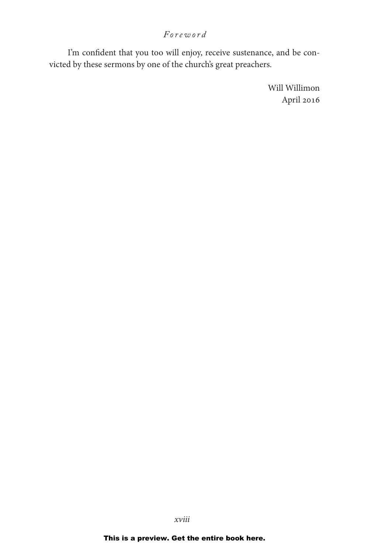I'm confident that you too will enjoy, receive sustenance, and be convicted by these sermons by one of the church's great preachers.

> Will Willimon April 2016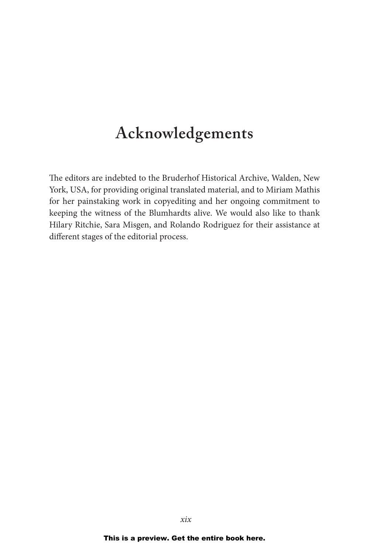## **Acknowledgements**

The editors are indebted to the Bruderhof Historical Archive, Walden, New York, USA, for providing original translated material, and to Miriam Mathis for her painstaking work in copyediting and her ongoing commitment to keeping the witness of the Blumhardts alive. We would also like to thank Hilary Ritchie, Sara Misgen, and Rolando Rodriguez for their assistance at different stages of the editorial process.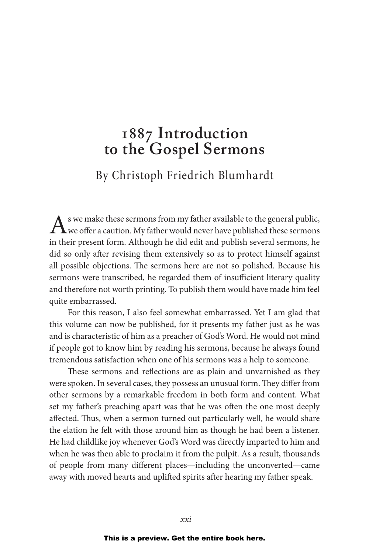## **1887 Introduction to the Gospel Sermons**

### By Christoph Friedrich Blumhardt

As we make these sermons from my father available to the general public,<br>we offer a caution. My father would never have published these sermons in their present form. Although he did edit and publish several sermons, he did so only after revising them extensively so as to protect himself against all possible objections. The sermons here are not so polished. Because his sermons were transcribed, he regarded them of insufficient literary quality and therefore not worth printing. To publish them would have made him feel quite embarrassed.

For this reason, I also feel somewhat embarrassed. Yet I am glad that this volume can now be published, for it presents my father just as he was and is characteristic of him as a preacher of God's Word. He would not mind if people got to know him by reading his sermons, because he always found tremendous satisfaction when one of his sermons was a help to someone.

These sermons and reflections are as plain and unvarnished as they were spoken. In several cases, they possess an unusual form. They differ from other sermons by a remarkable freedom in both form and content. What set my father's preaching apart was that he was often the one most deeply affected. Thus, when a sermon turned out particularly well, he would share the elation he felt with those around him as though he had been a listener. He had childlike joy whenever God's Word was directly imparted to him and when he was then able to proclaim it from the pulpit. As a result, thousands of people from many different places—including the unconverted—came away with moved hearts and uplifted spirits after hearing my father speak.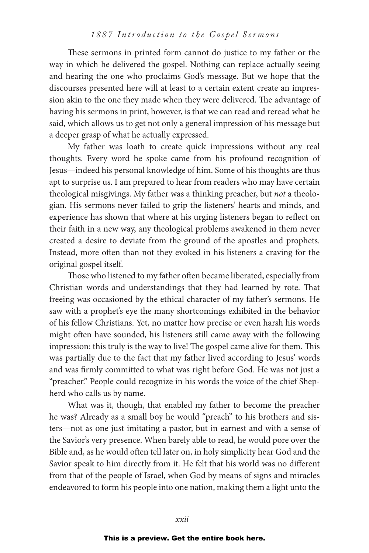#### 1887 Introduction to the Gospel Sermons

These sermons in printed form cannot do justice to my father or the way in which he delivered the gospel. Nothing can replace actually seeing and hearing the one who proclaims God's message. But we hope that the discourses presented here will at least to a certain extent create an impression akin to the one they made when they were delivered. The advantage of having his sermons in print, however, is that we can read and reread what he said, which allows us to get not only a general impression of his message but a deeper grasp of what he actually expressed.

My father was loath to create quick impressions without any real thoughts. Every word he spoke came from his profound recognition of Jesus—indeed his personal knowledge of him. Some of his thoughts are thus apt to surprise us. I am prepared to hear from readers who may have certain theological misgivings. My father was a thinking preacher, but *not* a theologian. His sermons never failed to grip the listeners' hearts and minds, and experience has shown that where at his urging listeners began to reflect on their faith in a new way, any theological problems awakened in them never created a desire to deviate from the ground of the apostles and prophets. Instead, more often than not they evoked in his listeners a craving for the original gospel itself.

Those who listened to my father often became liberated, especially from Christian words and understandings that they had learned by rote. That freeing was occasioned by the ethical character of my father's sermons. He saw with a prophet's eye the many shortcomings exhibited in the behavior of his fellow Christians. Yet, no matter how precise or even harsh his words might often have sounded, his listeners still came away with the following impression: this truly is the way to live! The gospel came alive for them. This was partially due to the fact that my father lived according to Jesus' words and was firmly committed to what was right before God. He was not just a "preacher." People could recognize in his words the voice of the chief Shepherd who calls us by name.

What was it, though, that enabled my father to become the preacher he was? Already as a small boy he would "preach" to his brothers and sisters—not as one just imitating a pastor, but in earnest and with a sense of the Savior's very presence. When barely able to read, he would pore over the Bible and, as he would often tell later on, in holy simplicity hear God and the Savior speak to him directly from it. He felt that his world was no different from that of the people of Israel, when God by means of signs and miracles endeavored to form his people into one nation, making them a light unto the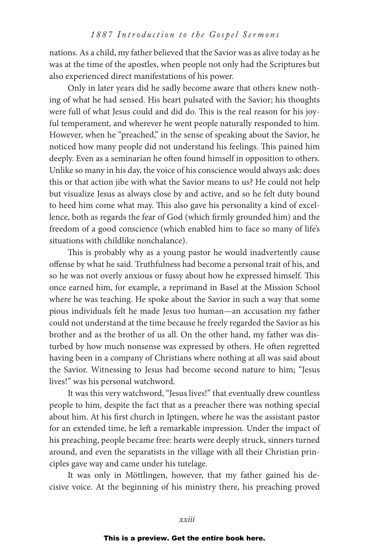nations. As a child, my father believed that the Savior was as alive today as he was at the time of the apostles, when people not only had the Scriptures but also experienced direct manifestations of his power.

Only in later years did he sadly become aware that others knew nothing of what he had sensed. His heart pulsated with the Savior; his thoughts were full of what Jesus could and did do. This is the real reason for his joyful temperament, and wherever he went people naturally responded to him. However, when he "preached," in the sense of speaking about the Savior, he noticed how many people did not understand his feelings. This pained him deeply. Even as a seminarian he often found himself in opposition to others. Unlike so many in his day, the voice of his conscience would always ask: does this or that action jibe with what the Savior means to us? He could not help but visualize Jesus as always close by and active, and so he felt duty bound to heed him come what may. This also gave his personality a kind of excellence, both as regards the fear of God (which firmly grounded him) and the freedom of a good conscience (which enabled him to face so many of life's situations with childlike nonchalance).

This is probably why as a young pastor he would inadvertently cause offense by what he said. Truthfulness had become a personal trait of his, and so he was not overly anxious or fussy about how he expressed himself. This once earned him, for example, a reprimand in Basel at the Mission School where he was teaching. He spoke about the Savior in such a way that some pious individuals felt he made Jesus too human—an accusation my father could not understand at the time because he freely regarded the Savior as his brother and as the brother of us all. On the other hand, my father was disturbed by how much nonsense was expressed by others. He often regretted having been in a company of Christians where nothing at all was said about the Savior. Witnessing to Jesus had become second nature to him; "Jesus lives!" was his personal watchword.

It was this very watchword, "Jesus lives!" that eventually drew countless people to him, despite the fact that as a preacher there was nothing special about him. At his first church in Iptingen, where he was the assistant pastor for an extended time, he left a remarkable impression. Under the impact of his preaching, people became free: hearts were deeply struck, sinners turned around, and even the separatists in the village with all their Christian principles gave way and came under his tutelage.

It was only in Möttlingen, however, that my father gained his decisive voice. At the beginning of his ministry there, his preaching proved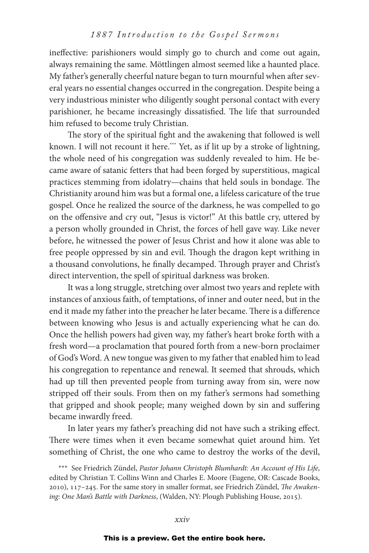ineffective: parishioners would simply go to church and come out again, always remaining the same. Möttlingen almost seemed like a haunted place. My father's generally cheerful nature began to turn mournful when after several years no essential changes occurred in the congregation. Despite being a very industrious minister who diligently sought personal contact with every parishioner, he became increasingly dissatisfied. The life that surrounded him refused to become truly Christian.

The story of the spiritual fight and the awakening that followed is well known. I will not recount it here.\*\*\* Yet, as if lit up by a stroke of lightning, the whole need of his congregation was suddenly revealed to him. He became aware of satanic fetters that had been forged by superstitious, magical practices stemming from idolatry—chains that held souls in bondage. The Christianity around him was but a formal one, a lifeless caricature of the true gospel. Once he realized the source of the darkness, he was compelled to go on the offensive and cry out, "Jesus is victor!" At this battle cry, uttered by a person wholly grounded in Christ, the forces of hell gave way. Like never before, he witnessed the power of Jesus Christ and how it alone was able to free people oppressed by sin and evil. Though the dragon kept writhing in a thousand convolutions, he finally decamped. Through prayer and Christ's direct intervention, the spell of spiritual darkness was broken.

It was a long struggle, stretching over almost two years and replete with instances of anxious faith, of temptations, of inner and outer need, but in the end it made my father into the preacher he later became. There is a difference between knowing who Jesus is and actually experiencing what he can do. Once the hellish powers had given way, my father's heart broke forth with a fresh word—a proclamation that poured forth from a new-born proclaimer of God's Word. A new tongue was given to my father that enabled him to lead his congregation to repentance and renewal. It seemed that shrouds, which had up till then prevented people from turning away from sin, were now stripped off their souls. From then on my father's sermons had something that gripped and shook people; many weighed down by sin and suffering became inwardly freed.

In later years my father's preaching did not have such a striking effect. There were times when it even became somewhat quiet around him. Yet something of Christ, the one who came to destroy the works of the devil,

\*\*\* See Friedrich Zündel, *Pastor Johann Christoph Blumhardt: An Account of His Life*, edited by Christian T. Collins Winn and Charles E. Moore (Eugene, OR: Cascade Books, 2010), 117–245. For the same story in smaller format, see Friedrich Zündel, *The Awakening: One Man's Battle with Darkness*, (Walden, NY: Plough Publishing House, 2015).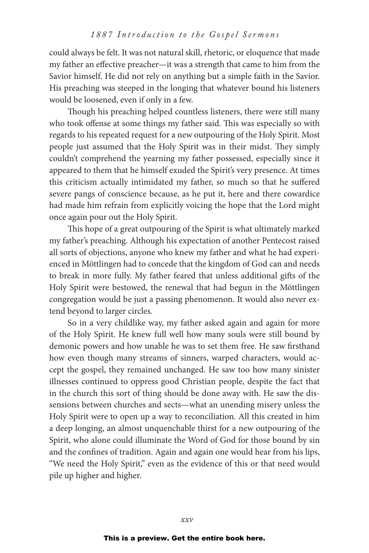could always be felt. It was not natural skill, rhetoric, or eloquence that made my father an effective preacher—it was a strength that came to him from the Savior himself. He did not rely on anything but a simple faith in the Savior. His preaching was steeped in the longing that whatever bound his listeners would be loosened, even if only in a few.

Though his preaching helped countless listeners, there were still many who took offense at some things my father said. This was especially so with regards to his repeated request for a new outpouring of the Holy Spirit. Most people just assumed that the Holy Spirit was in their midst. They simply couldn't comprehend the yearning my father possessed, especially since it appeared to them that he himself exuded the Spirit's very presence. At times this criticism actually intimidated my father, so much so that he suffered severe pangs of conscience because, as he put it, here and there cowardice had made him refrain from explicitly voicing the hope that the Lord might once again pour out the Holy Spirit.

This hope of a great outpouring of the Spirit is what ultimately marked my father's preaching. Although his expectation of another Pentecost raised all sorts of objections, anyone who knew my father and what he had experienced in Möttlingen had to concede that the kingdom of God can and needs to break in more fully. My father feared that unless additional gifts of the Holy Spirit were bestowed, the renewal that had begun in the Möttlingen congregation would be just a passing phenomenon. It would also never extend beyond to larger circles.

So in a very childlike way, my father asked again and again for more of the Holy Spirit. He knew full well how many souls were still bound by demonic powers and how unable he was to set them free. He saw firsthand how even though many streams of sinners, warped characters, would accept the gospel, they remained unchanged. He saw too how many sinister illnesses continued to oppress good Christian people, despite the fact that in the church this sort of thing should be done away with. He saw the dissensions between churches and sects—what an unending misery unless the Holy Spirit were to open up a way to reconciliation. All this created in him a deep longing, an almost unquenchable thirst for a new outpouring of the Spirit, who alone could illuminate the Word of God for those bound by sin and the confines of tradition. Again and again one would hear from his lips, "We need the Holy Spirit," even as the evidence of this or that need would pile up higher and higher.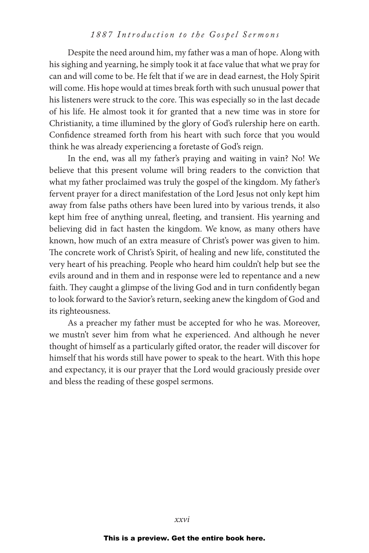#### 1887 Introduction to the Gospel Sermons

Despite the need around him, my father was a man of hope. Along with his sighing and yearning, he simply took it at face value that what we pray for can and will come to be. He felt that if we are in dead earnest, the Holy Spirit will come. His hope would at times break forth with such unusual power that his listeners were struck to the core. This was especially so in the last decade of his life. He almost took it for granted that a new time was in store for Christianity, a time illumined by the glory of God's rulership here on earth. Confidence streamed forth from his heart with such force that you would think he was already experiencing a foretaste of God's reign.

In the end, was all my father's praying and waiting in vain? No! We believe that this present volume will bring readers to the conviction that what my father proclaimed was truly the gospel of the kingdom. My father's fervent prayer for a direct manifestation of the Lord Jesus not only kept him away from false paths others have been lured into by various trends, it also kept him free of anything unreal, fleeting, and transient. His yearning and believing did in fact hasten the kingdom. We know, as many others have known, how much of an extra measure of Christ's power was given to him. The concrete work of Christ's Spirit, of healing and new life, constituted the very heart of his preaching. People who heard him couldn't help but see the evils around and in them and in response were led to repentance and a new faith. They caught a glimpse of the living God and in turn confidently began to look forward to the Savior's return, seeking anew the kingdom of God and its righteousness.

As a preacher my father must be accepted for who he was. Moreover, we mustn't sever him from what he experienced. And although he never thought of himself as a particularly gifted orator, the reader will discover for himself that his words still have power to speak to the heart. With this hope and expectancy, it is our prayer that the Lord would graciously preside over and bless the reading of these gospel sermons.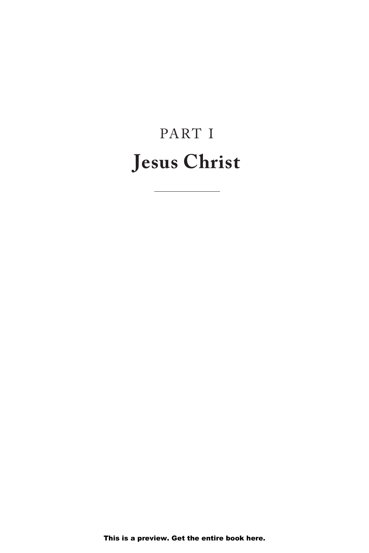## PART I **Jesus Christ**

This is a preview. Get the entire book here.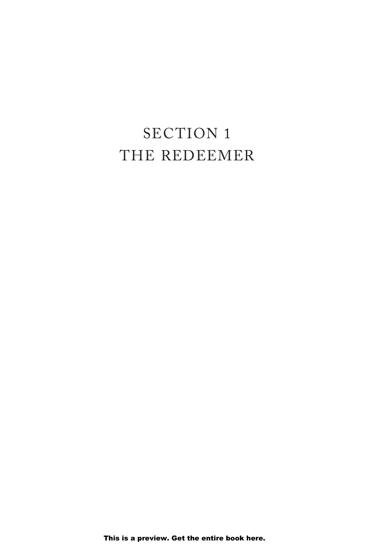## SECTION 1 THE REDEEMER

This is a preview. Get the entire book here.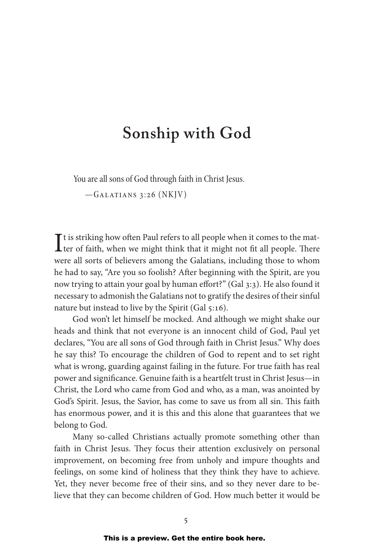## **Sonship with God**

You are all sons of God through faith in Christ Jesus.

 $-$ GALATIANS 3:26 (NKJV)

It is striking how often Paul refers to all people when it comes to the mat-<br>ter of faith, when we might think that it might not fit all people. There ter of faith, when we might think that it might not fit all people. There were all sorts of believers among the Galatians, including those to whom he had to say, "Are you so foolish? After beginning with the Spirit, are you now trying to attain your goal by human effort?" (Gal 3:3). He also found it necessary to admonish the Galatians not to gratify the desires of their sinful nature but instead to live by the Spirit (Gal 5:16).

God won't let himself be mocked. And although we might shake our heads and think that not everyone is an innocent child of God, Paul yet declares, "You are all sons of God through faith in Christ Jesus." Why does he say this? To encourage the children of God to repent and to set right what is wrong, guarding against failing in the future. For true faith has real power and significance. Genuine faith is a heartfelt trust in Christ Jesus—in Christ, the Lord who came from God and who, as a man, was anointed by God's Spirit. Jesus, the Savior, has come to save us from all sin. This faith has enormous power, and it is this and this alone that guarantees that we belong to God.

Many so-called Christians actually promote something other than faith in Christ Jesus. They focus their attention exclusively on personal improvement, on becoming free from unholy and impure thoughts and feelings, on some kind of holiness that they think they have to achieve. Yet, they never become free of their sins, and so they never dare to believe that they can become children of God. How much better it would be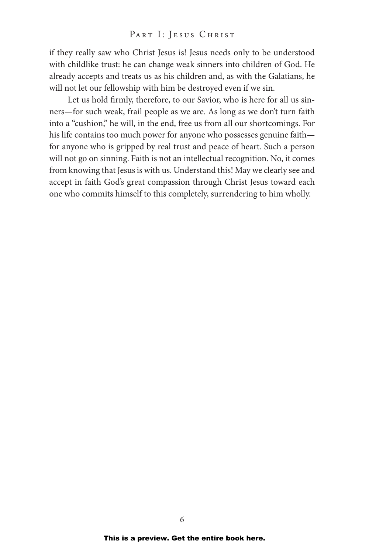#### PART I: JESUS CHRIST

if they really saw who Christ Jesus is! Jesus needs only to be understood with childlike trust: he can change weak sinners into children of God. He already accepts and treats us as his children and, as with the Galatians, he will not let our fellowship with him be destroyed even if we sin.

Let us hold firmly, therefore, to our Savior, who is here for all us sinners—for such weak, frail people as we are. As long as we don't turn faith into a "cushion," he will, in the end, free us from all our shortcomings. For his life contains too much power for anyone who possesses genuine faith for anyone who is gripped by real trust and peace of heart. Such a person will not go on sinning. Faith is not an intellectual recognition. No, it comes from knowing that Jesus is with us. Understand this! May we clearly see and accept in faith God's great compassion through Christ Jesus toward each one who commits himself to this completely, surrendering to him wholly.